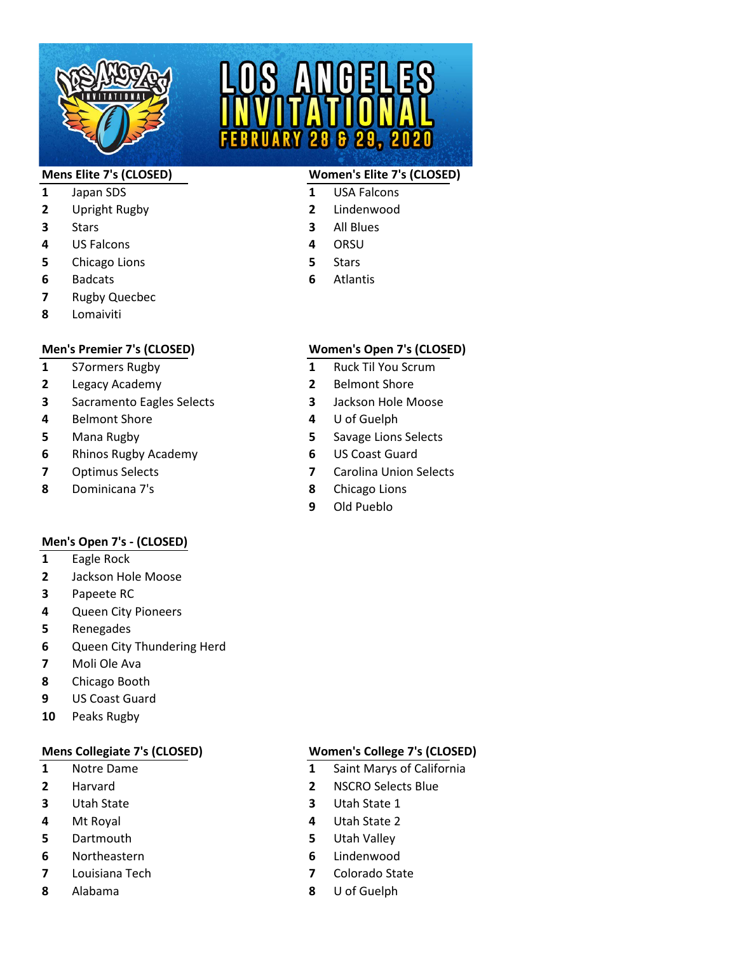

# $629,$

# **Mens Elite 7's (CLOSED) Women's Elite 7's (CLOSED)**

- 
- Stars **3** All Blues
	-
	-
	-

# Japan SDS **1** USA Falcons

- Upright Rugby **2** Lindenwood
- 
- US Falcons **4** ORSU
- Chicago Lions **5** Stars
- Badcats **6** Atlantis
- Rugby Quecbec
- Lomaiviti

- 
- Legacy Academy **2** Belmont Shore
- Sacramento Eagles Selects **3** Jackson Hole Moose
- Belmont Shore **4** U of Guelph
- 
- Rhinos Rugby Academy **6** US Coast Guard
- 
- Dominicana 7's **8** Chicago Lions

# **Men's Open 7's - (CLOSED)**

- Eagle Rock
- Jackson Hole Moose
- Papeete RC
- Queen City Pioneers
- Renegades
- Queen City Thundering Herd
- Moli Ole Ava
- Chicago Booth
- US Coast Guard
- Peaks Rugby

- 
- 
- 
- 
- Dartmouth **5** Utah Valley
- Northeastern **6** Lindenwood
- 
- 

# **Men's Premier 7's (CLOSED) Women's Open 7's (CLOSED)**

- S7ormers Rugby **1** Ruck Til You Scrum
	-
	-
	-
- Mana Rugby **5** Savage Lions Selects
	-
- Optimus Selects **7** Carolina Union Selects
	-
	- Old Pueblo

# **Mens Collegiate 7's (CLOSED) Women's College 7's (CLOSED)**

- Notre Dame **1** Saint Marys of California
- Harvard **2** NSCRO Selects Blue
- Utah State **3** Utah State 1
- Mt Royal **4** Utah State 2
	-
	-
- Louisiana Tech **7** Colorado State
- Alabama **8** U of Guelph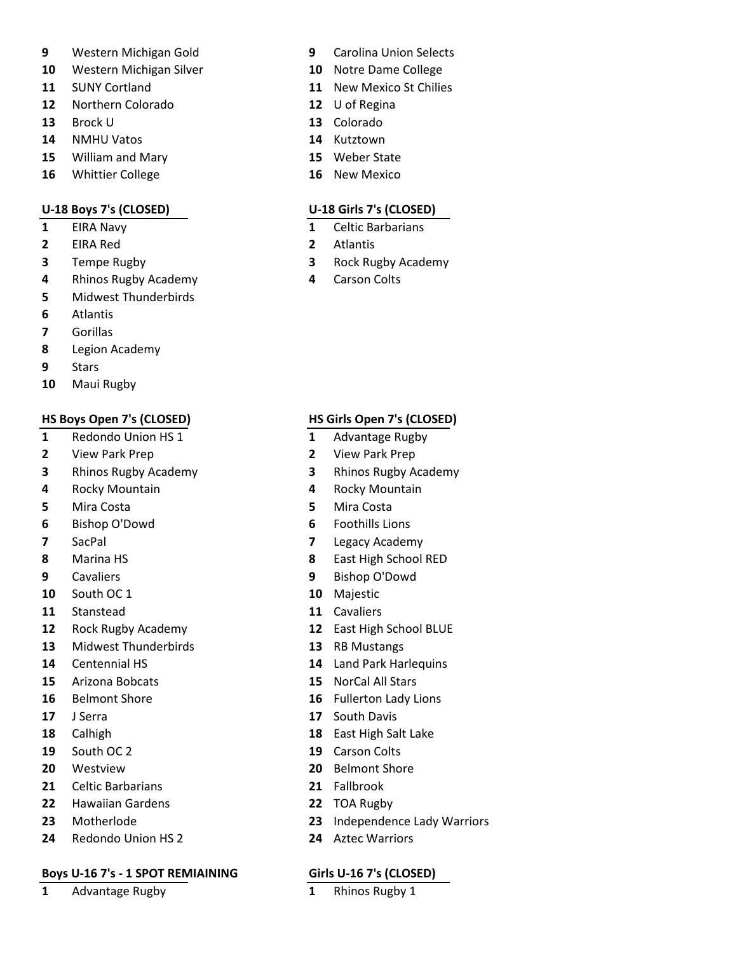- Western Michigan Gold **9** Carolina Union Selects
- Western Michigan Silver **10** Notre Dame College
- 
- Northern Colorado **12** U of Regina
- Brock U **13** Colorado
- NMHU Vatos **14** Kutztown
- William and Mary **15** Weber State
- Whittier College **16** New Mexico

- 
- EIRA Red **2** Atlantis
- 
- Rhinos Rugby Academy **4** Carson Colts
- Midwest Thunderbirds
- Atlantis
- Gorillas
- Legion Academy
- Stars
- Maui Rugby

- Redondo Union HS 1 **1** Advantage Rugby
- View Park Prep **2** View Park Prep
- Rhinos Rugby Academy **3** Rhinos Rugby Academy
- Rocky Mountain **4** Rocky Mountain
- Mira Costa **5** Mira Costa
- Bishop O'Dowd **6** Foothills Lions
- 
- 
- 
- South OC 1 **10** Majestic
- Stanstead **11** Cavaliers
- 
- Midwest Thunderbirds **13** RB Mustangs
- 
- Arizona Bobcats **15** NorCal All Stars
- 
- 
- 
- South OC 2 **19** Carson Colts
- 
- Celtic Barbarians **21** Fallbrook
- Hawaiian Gardens **22** TOA Rugby
- 
- Redondo Union HS 2 **24** Aztec Warriors

## **Boys U-16 7's - 1 SPOT REMIAINING Girls U-16 7's (CLOSED)**

Advantage Rugby **1** Rhinos Rugby 1

- 
- 
- SUNY Cortland **11** New Mexico St Chilies
	-
	-
	-
	-
	-

# **U-18 Boys 7's (CLOSED) U-18 Girls 7's (CLOSED)**

- EIRA Navy **1** Celtic Barbarians
	-
- Tempe Rugby **3** Rock Rugby Academy
	-

# **HS Boys Open 7's (CLOSED) HS Girls Open 7's (CLOSED)**

- 
- 
- 
- 
- 
- 
- SacPal **7** Legacy Academy
- Marina HS **8** East High School RED
- Cavaliers **9** Bishop O'Dowd
	-
	-
- Rock Rugby Academy **12** East High School BLUE
	-
- Centennial HS **14** Land Park Harlequins
	-
- Belmont Shore **16** Fullerton Lady Lions
- J Serra **17** South Davis
- Calhigh **18** East High Salt Lake
	-
- Westview **20** Belmont Shore
	-
	-
- Motherlode **23** Independence Lady Warriors
	-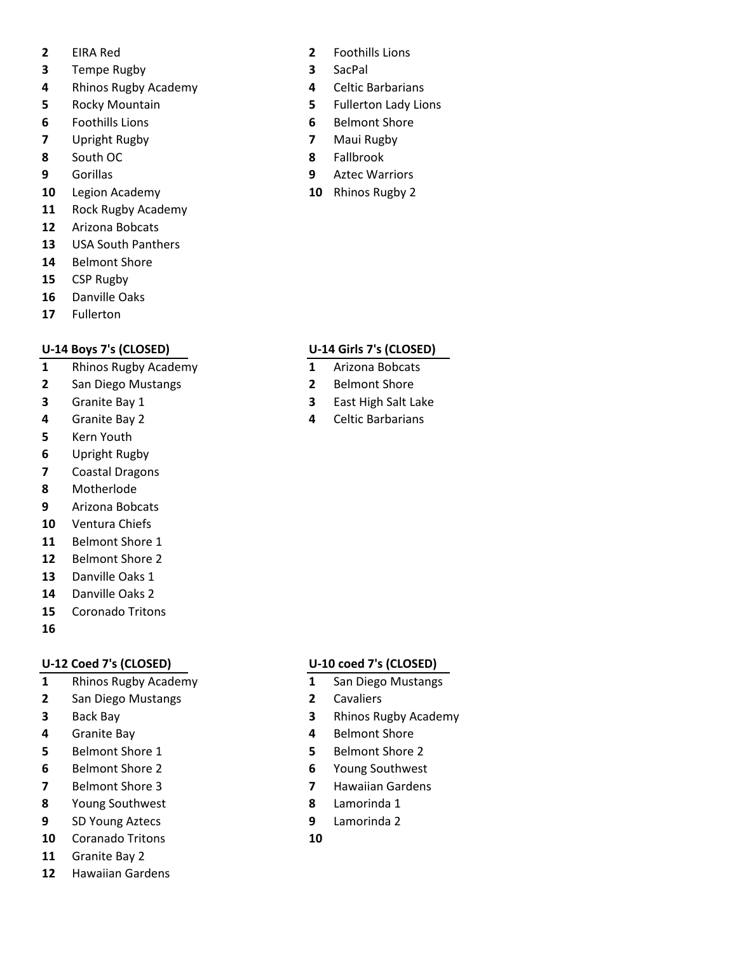- 
- Tempe Rugby **3** SacPal
- Rhinos Rugby Academy **4** Celtic Barbarians
- 
- Foothills Lions **6** Belmont Shore
- Upright Rugby **7** Maui Rugby
- South OC **8** Fallbrook
- 
- Legion Academy **10** Rhinos Rugby 2
- Rock Rugby Academy
- Arizona Bobcats
- USA South Panthers
- Belmont Shore
- CSP Rugby
- Danville Oaks
- Fullerton

- Rhinos Rugby Academy **1** Arizona Bobcats
- San Diego Mustangs **2** Belmont Shore
- 
- 
- Kern Youth
- Upright Rugby
- Coastal Dragons
- Motherlode
- Arizona Bobcats
- Ventura Chiefs
- Belmont Shore 1
- Belmont Shore 2
- Danville Oaks 1
- Danville Oaks 2
- Coronado Tritons
- 

# **U-12 Coed 7's (CLOSED) U-10 coed 7's (CLOSED)**

- Rhinos Rugby Academy **1** San Diego Mustangs
- San Diego Mustangs **2** Cavaliers
- 
- Granite Bay **4** Belmont Shore
- Belmont Shore 1 **5** Belmont Shore 2
- Belmont Shore 2 **6** Young Southwest
- 
- Young Southwest **8** Lamorinda 1
- SD Young Aztecs **9** Lamorinda 2
- Coranado Tritons **10**
- Granite Bay 2
- Hawaiian Gardens
- EIRA Red **2** Foothills Lions
	-
	-
- Rocky Mountain **5** Fullerton Lady Lions
	-
	-
	-
- Gorillas **9** Aztec Warriors
	-

## **U-14 Boys 7's (CLOSED) U-14 Girls 7's (CLOSED)**

- 
- 
- Granite Bay 1 **3** East High Salt Lake
- Granite Bay 2 **4** Celtic Barbarians

- 
- 
- Back Bay **3** Rhinos Rugby Academy
	-
	-
	-
- Belmont Shore 3 **7** Hawaiian Gardens
	-
	-
	-